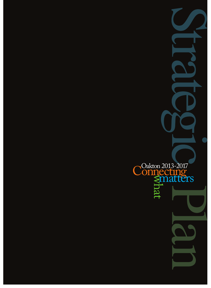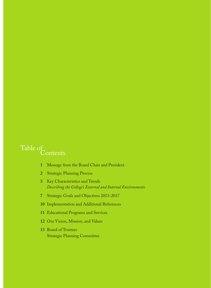## Contents Table of

- Message from the Board Chair and President
- Strategic Planning Process
- Key Characteristics and Trends *Describing the College's External and Internal Environments*
- Strategic Goals and Objectives 2013-2017
- Implementation and Additional References
- Educational Programs and Services
- Our Vision, Mission, and Values
- Board of Trustees Strategic Planning Committee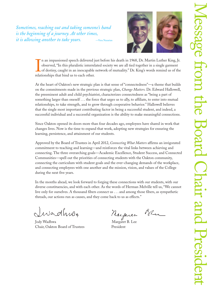*Sometimes, reaching out and taking someone's hand is the beginning of a journey. At other times, it is allowing another to take yours.*  $-$ Vera Nazarian



 $\prod_{\scriptscriptstyle{\text{relat}}}$ n an impassioned speech delivered just before his death in 1968, Dr. Martin Luther King, Jr. observed, "In this pluralistic interrelated society we are all tied together in a single garment of destiny, caught in an inescapable network of mutuality." Dr. King's words remind us of the relationships that bind us to each other.

At the heart of Oakton's new strategic plan is that sense of "connectedness"—a theme that builds on the commitments made in the previous strategic plan, *Change Matters.* Dr. Edward Hallowell, the preeminent adult and child psychiatrist, characterizes connectedness as "being a part of something larger than oneself . . . the force that urges us to ally, to affiliate, to enter into mutual relationships, to take strength, and to grow through cooperative behavior." Hallowell believes that the single most important contributing factor in being a successful student, and indeed, a successful individual and a successful organization is the ability to make meaningful connections.

Since Oakton opened its doors more than four decades ago, employees have shared in work that changes lives. Now is the time to expand that work, adopting new strategies for ensuring the learning, persistence, and attainment of our students.

Approved by the Board of Trustees in April 2012, *Connecting What Matters* affirms an invigorated commitment to teaching and learning—and reinforces the vital links between achieving and connecting. The three overarching goals—Academic Excellence, Student Success, and Connected Communities—spell out the priorities of connecting students with the Oakton community, connecting the curriculum with student goals and the ever-changing demands of the workplace, and connecting employees with one another and the mission, vision, and values of the College during the next five years.

In the months ahead, we look forward to forging these connections with our students, with our diverse constituencies, and with each other. As the words of Herman Melville tell us, "We cannot live only for ourselves. A thousand fibers connect us . . . and among those fibers, as sympathetic threads, our actions run as causes, and they come back to us as effects."

wadhw. Jody Wadhwa Margaret B. Lee

Chair, Oakton Board of Trustees President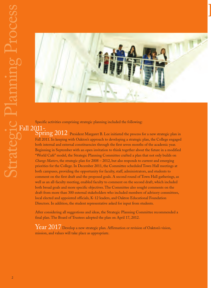

 $\overline{\phantom{a}}$ 

Specific activities comprising strategic planning included the following:

 $Spring$   $2012$  President Margaret B. Lee initiated the process for a new strategic plan in Fall 2011. In keeping with Oakton's approach to developing a strategic plan, the College engaged both internal and external constituencies through the first seven months of the academic year. Beginning in September with an open invitation to think together about the future in a modified "World Café" model, the Strategic Planning Committee crafted a plan that not only builds on *Change Matters*, the strategic plan for 2008 – 2012, but also responds to current and emerging priorities for the College. In December 2011, the Committee scheduled Town Hall meetings at both campuses, providing the opportunity for faculty, staff, administrators, and students to comment on the first draft and the proposed goals. A second round of Town Hall gatherings, as well as an all-faculty meeting, enabled faculty to comment on the second draft, which included both broad goals and more specific objectives. The Committee also sought comments on the draft from more than 300 external stakeholders who included members of advisory committees, local elected and appointed officials, K-12 leaders, and Oakton Educational Foundation Directors. In addition, the student representative asked for input from students.

After considering all suggestions and ideas, the Strategic Planning Committee recommended a final plan. The Board of Trustees adopted the plan on April 17, 2012.

Year 2017 Develop a new strategic plan. Affirmation or revision of Oakton's vision, mission, and values will take place as appropriate.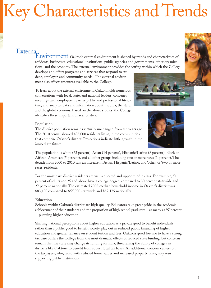# Key Characteristics and Trends

## **External**

Environment Oakton's external environment is shaped by trends and characteristics of residents, businesses, educational institutions, public agencies and governments, other organizations, and the economy. The external environment provides the setting within which the College

develops and offers programs and services that respond to student, employer, and community needs. The external environment also affects resources available to the College.

To learn about the external environment, Oakton holds numerous conversations with local, state, and national leaders; convenes meetings with employers; reviews public and professional literature; and analyzes data and information about the area, the state, and the global economy. Based on the above studies, the College identifies these important characteristics:

## **Population**

The district population remains virtually unchanged from ten years ago. The 2010 census showed 435,000 residents living in the communities that comprise Oakton's district. Projections indicate little growth in the immediate future.



The population is white (72 percent), Asian (14 percent), Hispanic/Latino (8 percent), Black or African-American (5 percent), and all other groups including two or more races (1 percent). The decade from 2000 to 2010 saw an increase in Asian, Hispanic/Latino, and 'other' or 'two or more races' residents.

For the most part, district residents are well-educated and upper middle class. For example, 51 percent of adults age 25 and above have a college degree, compared to 30 percent statewide and 27 percent nationally. The estimated 2008 median household income in Oakton's district was \$83,100 compared to \$55,900 statewide and \$52,175 nationally.

## **Education**

Schools within Oakton's district are high quality. Educators take great pride in the academic achievement of their students and the proportion of high school graduates—as many as 97 percent —pursuing higher education.

Shifting national perceptions about higher education as a private good to benefit individuals, rather than a public good to benefit society, play out in reduced public financing of higher education and greater reliance on student tuition and fees. Oakton's good fortune to have a strong tax base buffers the College from the most dramatic effects of reduced state funding, but concerns remain that the state may change its funding formula, threatening the ability of colleges in districts like Oakton's to benefit from robust local tax bases. An additional concern centers on the taxpayers, who, faced with reduced home values and increased property taxes, may resist supporting public institutions.

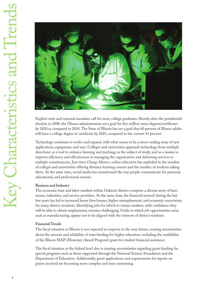

Explicit state and national mandates call for more college graduates. Shortly after the presidential election in 2008, the Obama administration set a goal for five million more degrees/certificates by 2020 as compared to 2010. The State of Illinois has set a goal that 60 percent of Illinois adults will have a college degree or certificate by 2025, compared to the current 43 percent.

Technology continues to evolve and expand, with what seems to be a never-ending array of new applications, equipment, and uses. Colleges and universities approach technology from multiple directions: as a tool to enhance learning and teaching; as the subject of study; and as a means to improve efficiency and effectiveness in managing the organization and delivering services to multiple constituencies. Just since *Change Matters*, online education has exploded in the number of colleges and universities offering distance learning courses and the number of students taking them. At the same time, social media has transformed the way people communicate for personal, educational, and professional reasons.

## **Business and Industry**

The economic base and labor markets within Oakton's district comprise a diverse array of businesses, industries, and service providers. At the same time, the financial turmoil during the last few years has led to increased home foreclosures, higher unemployment, and economic uncertainty for many district residents. Identifying jobs for which to retrain workers, with confidence they will be able to obtain employment, remains challenging. Fields in which job opportunities exist, such as manufacturing, appear not to be aligned with the interests of district residents.

#### **Financial Trends**

The fiscal situation in Illinois is not expected to improve in the near future, creating uncertainties about the amount and reliability of state funding for higher education, including the availability of the Illinois MAP (Monetary Award Program) grant for student financial assistance.

The fiscal situation at the federal level also is creating uncertainties regarding grant funding for special programs such as those supported through the National Science Foundation and the Department of Education. Additionally, grant applications and requirements for reports on grants received are becoming more complex and time consuming.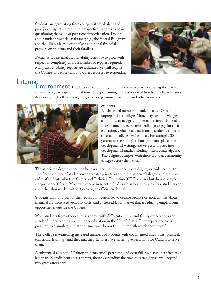Students are graduating from college with high debt and poor job prospects, prompting prospective students to begin questioning the value of postsecondary education. Doubts about student financial assistance; e.g., the federal Pell grant and the Illinois MAP grant, place additional financial pressure on students and their families.

Demands for external accountability continue to grow with respect to complexity and the number of reports required. Many accountability reports are unfunded, yet still require the College to devote staff and other resources to responding.



## **Internal**

Environment In addition to examining trends and characteristics shaping the external environment, participants in Oakton's strategic planning process reviewed trends and characteristics describing the College's programs, services, personnel, facilities, and other resources.



### **Students**

A substantial number of students enter Oakton unprepared for college. Many may lack knowledge about how to navigate higher education or be unable to overcome the economic challenge to pay for their education. Others need additional academic skills to succeed in college-level courses. For example, 30 percent of recent high school graduates place into developmental writing, and 66 percent place into developmental math, including intermediate algebra. These figures comport with those found at community colleges across the nation.

The associate's degree appears to be less appealing than a bachelor's degree, as evidenced by the significant number of students who transfer prior to earning the associate's degree and the large cadre of students who take Career and Technical Education (CTE) courses but do not complete a degree or certificate. Moreover, except in selected fields such as health care careers, students can enter the labor market without earning an official credential.

Students' ability to pay for their educations continues to decline because of uncertainties about financial aid, increased textbook costs, and a stressed labor market that is reducing employment opportunities outside the College.

More students from other countries enroll with different cultural and family expectations and a lack of understanding about higher education in the United States. They experience crosspressures to assimilate, and at the same time, honor the culture with which they identify.

The College is witnessing increased numbers of students with documented disabilities (physical, emotional, learning), and they and their families have differing expectations for Oakton to serve them.

A substantial number of Oakton students enroll part time, and even full-time students often take less than 15 credit hours per semester, thereby extending the time to earn a degree well beyond two years after entry.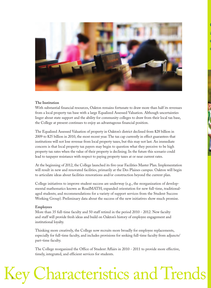

O

a

e

o

## **The Institution**

With substantial financial resources, Oakton remains fortunate to draw more than half its revenues from a local property tax base with a large Equalized Assessed Valuation. Although uncertainties linger about state support and the ability for community colleges to draw from their local tax base, the College at present continues to enjoy an advantageous financial position.

The Equalized Assessed Valuation of property in Oakton's district declined from \$28 billion in 2009 to \$25 billion in 2010, the most recent year. The tax cap currently in effect guarantees that institutions will not lose revenue from local property taxes, but this may not last. An immediate concern is that local property tax payers may begin to question what they perceive to be high property tax rates when the value of their property is declining. In the future this scenario could lead to taxpayer resistance with respect to paying property taxes at or near current rates.

At the beginning of 2012, the College launched its five-year Facilities Master Plan. Implementation will result in new and renovated facilities, primarily at the Des Plaines campus. Oakton will begin to articulate ideas about facilities renovations and/or construction beyond the current plan.

College initiatives to improve student success are underway (e.g., the reorganization of developmental mathematics known as RoadMATH; expanded orientation for new full-time, traditionalaged students; and recommendations for a variety of support services from the Student Success Working Group). Preliminary data about the success of the new initiatives show much promise.

## **Employees**

More than 35 full-time faculty and 50 staff retired in the period 2010 - 2012. New faculty and staff will provide fresh ideas and build on Oakton's history of employee engagement and institutional loyalty.

Thinking more creatively, the College now recruits more broadly for employee replacements, especially for full-time faculty, and includes provisions for seeking full-time faculty from adjuncts/ part-time faculty.

The College reorganized the Office of Student Affairs in 2010 - 2011 to provide more effective, timely, integrated, and efficient services for students.

# Key Characteristics and Trends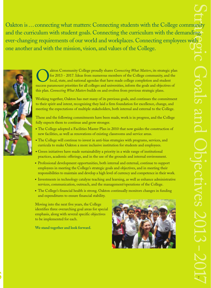Oakton is…connecting what matters: Connecting students with the College community and the curriculum with student goals. Connecting the curriculum with the demanding, ever-changing requirements of our world and workplaces. Connecting employees with one another and with the mission, vision, and values of the College.



Sakton Community College proudly shares *Connecting What Matters*, its strategic plan for 2013 - 2017. Ideas from numerous members of the College community, and the local, state, and national agendas that have made college for 2013 - 2017. Ideas from numerous members of the College community, and the local, state, and national agendas that have made college completion and student success paramount priorities for all colleges and universities, inform the goals and objectives of this plan. *Connecting What Matters* builds on and evolves from previous strategic plans.

Working together, Oakton has met many of its previous goals, and continues the commitment to their spirit and intent, recognizing they laid a firm foundation for excellence, change, and meeting the expectations of multiple stakeholders, both internal and external to the College.

These and the following commitments have been made, work is in progress, and the College fully expects them to continue and grow stronger.

- The College adopted a Facilities Master Plan in 2010 that now guides the construction of new facilities, as well as renovations of existing classrooms and service areas.
- The College will continue to invest in anti-bias strategies with programs, services, and curricula to make Oakton a more inclusive institution for students and employees.
- Green initiatives have made sustainability a priority in a wide range of institutional practices, academic offerings, and in the use of the grounds and internal environment.
- Professional development opportunities, both internal and external, continue to support employees in meeting the College's strategic goals and objectives, and in meeting their responsibilities to maintain and develop a high level of currency and competence in their work.
- Investments in technology catalyze teaching and learning, as well as enhance administrative services, communication, outreach, and the management/operations of the College.
- The College's financial health is strong. Oakton continually monitors changes in funding and expenditures to ensure financial stability.

Moving into the next five years, the College identifies three overarching goal areas for special emphasis, along with several specific objectives to be implemented for each.

**We stand together and look forward.**

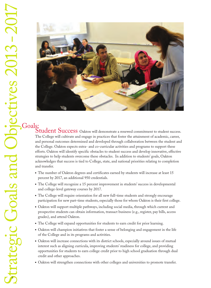

Student Success Oakton will demonstrate a renewed commitment to student success. The College will cultivate and engage in practices that foster the attainment of academic, career, and personal outcomes determined and developed through collaboration between the student and the College. Oakton expects extra- and co-curricular activities and programs to support these efforts. Oakton will identify specific obstacles to student success and develop innovative, effective strategies to help students overcome these obstacles. In addition to students' goals, Oakton acknowledges that success is tied to College, state, and national priorities relating to completion and transfer.

- The number of Oakton degrees and certificates earned by students will increase at least 15 percent by 2017, an additional 950 credentials.
- The College will recognize a 15 percent improvement in students' success in developmental and college-level gateway courses by 2017.
- The College will require orientation for all new full-time students and strongly encourage participation for new part-time students, especially those for whom Oakton is their first college.
- Oakton will support multiple pathways, including social media, through which current and prospective students can obtain information, transact business (e.g., register, pay bills, access grades), and attend Oakton.
- The College will expand opportunities for students to earn credit for prior learning.
- Oakton will champion initiatives that foster a sense of belonging and engagement in the life of the College and in its programs and activities.
- Oakton will increase connections with its district schools, especially around issues of mutual interest such as aligning curricula, improving students' readiness for college, and providing opportunities for students to earn college credit prior to high school graduation through dual credit and other approaches.
- Oakton will strengthen connections with other colleges and universities to promote transfer.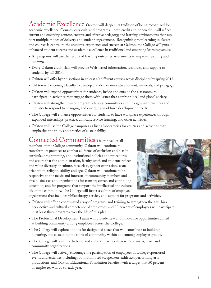Academic Excellence Oakton will deepen its tradition of being recognized for academic excellence. Courses, curricula, and programs—both credit and noncredit—will reflect current and emerging content, creative and effective pedagogy, and learning environments that support multiple modes of delivery and student engagement. Recognizing that learning in classes and courses is central to the student's experience and success at Oakton, the College will pursue enhanced student success and academic excellence in traditional and emerging learning venues.

- All programs will use the results of learning outcomes assessments to improve teaching and learning.
- Every Oakton credit class will provide Web-based information, resources, and support to students by fall 2014.
- Oakton will offer hybrid sections in at least 40 different courses across disciplines by spring 2017.
- Oakton will encourage faculty to develop and deliver innovative content, materials, and pedagogy.
- Oakton will expand opportunities for students, inside and outside the classroom, to participate in activities that engage them with issues that confront local and global society.
- Oakton will strengthen career program advisory committees and linkages with business and industry to respond to changing and emerging workforce development needs.
- The College will enhance opportunities for students to have workplace experiences through expanded internships, practica, clinicals, service learning, and other activities.
- Oakton will use the College campuses as living laboratories for courses and activities that emphasize the study and practice of sustainability.

## Connected Communities Oakton values all

members of the College community. Oakton will continue to transform its practices to combat all forms of exclusion and bias in curricula, programming, and institutional policies and procedures and assure that the administration, faculty, staff, and students reflect and value diversity of culture, race, class, gender expression, sexual orientation, religion, ability, and age. Oakton will continue to be responsive to the needs and interests of community members and area businesses and organizations for transfer, career, and continuing education, and for programs that support the intellectual and cultural life of the community. The College will foster a culture of employee



engagement that includes philanthropy, service, and support for programs and activities.

- Oakton will offer a coordinated array of programs and training to strengthen the anti-bias perspective and cultural competence of employees, and 80 percent of employees will participate in at least three programs over the life of this plan.
- The Professional Development Teams will provide new and innovative opportunities aimed at building community among employees across the College.
- The College will explore options for designated space that will contribute to building, nurturing, and sustaining the spirit of community within and among employee groups.
- The College will continue to build and enhance partnerships with business, civic, and community organizations.
- The College will actively encourage the participation of employees in College-sponsored events and activities including, but not limited to, speakers, athletics, performing arts productions, and Oakton Educational Foundation benefits, with a target that 50 percent of employees will do so each year.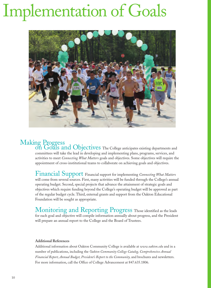# Implementation of Goals



# Making Progress

on Goals and Objectives The College anticipates existing departments and committees will take the lead in developing and implementing plans, programs, services, and activities to meet *Connecting What Matters* goals and objectives. Some objectives will require the appointment of cross-institutional teams to collaborate on achieving goals and objectives.

Financial Support Financial support for implementing *Connecting What Matters* will come from several sources. First, many activities will be funded through the College's annual operating budget. Second, special projects that advance the attainment of strategic goals and objectives which require funding beyond the College's operating budget will be approved as part of the regular budget cycle. Third, external grants and support from the Oakton Educational Foundation will be sought as appropriate.

Monitoring and Reporting Progress Those identified as the leads for each goal and objective will compile information annually about progress, and the President will prepare an annual report to the College and the Board of Trustees.

## **Additional References**

Additional information about Oakton Community College is available at *www.oakton.edu* and in a number of publications, including the *Oakton Community College Catalog, Comprehensive Annual Financial Report, Annual Budget, President's Report to the Community,* and brochures and newsletters. For more information, call the Office of College Advancement at 847.635.1806.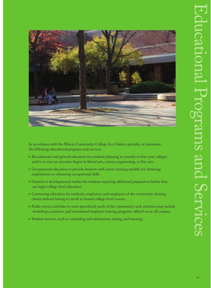

In accordance with the Illinois Community College Act, Oakton provides, at minimum, the following educational programs and services:

- Baccalaureate and general education for students planning to transfer to four-year colleges and/or to earn an associate degree in liberal arts, science, engineering, or fine arts.
- Occupational education to provide students with career training suitable for obtaining employment or enhancing occupational skills.
- General or developmental studies for students requiring additional preparation before they can begin college-level education.
- Continuing education for residents, employers, and employees of the community desiring classes without having to enroll in formal college-level courses.
- Public service activities to meet specialized needs of the community; such activities may include workshops, seminars, and customized employee training programs offered on or off campus.
- Student services, such as counseling and advisement, testing, and tutoring.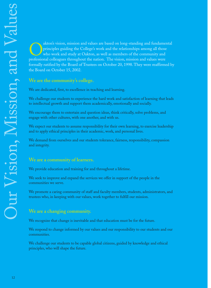akton's vision, mission and values are based on long-standing and fundamental principles guiding the College's work and the relationships among all those who work and study at Oakton, as well as members of the community and professional colleagues throughout the nation. The vision, mission and values were formally ratified by the Board of Trustees on October 20, 1998. They were reaffirmed by the Board on October 15, 2002.

## **We are the community's college.**

We are dedicated, first, to excellence in teaching and learning.

We challenge our students to experience the hard work and satisfaction of learning that leads to intellectual growth and support them academically, emotionally and socially.

We encourage them to entertain and question ideas, think critically, solve problems, and engage with other cultures, with one another, and with us.

We expect our students to assume responsibility for their own learning, to exercise leadership and to apply ethical principles in their academic, work, and personal lives.

We demand from ourselves and our students tolerance, fairness, responsibility, compassion and integrity.

## **We are a community of learners.**

We provide education and training for and throughout a lifetime.

We seek to improve and expand the services we offer in support of the people in the communities we serve.

We promote a caring community of staff and faculty members, students, administrators, and trustees who, in keeping with our values, work together to fulfill our mission.

## **We are a changing community.**

We recognize that change is inevitable and that education must be for the future.

We respond to change informed by our values and our responsibility to our students and our communities.

We challenge our students to be capable global citizens, guided by knowledge and ethical principles, who will shape the future.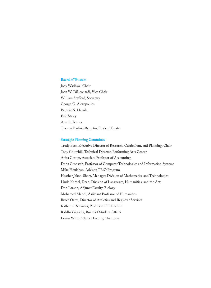#### **Board of Trustees**

Jody Wadhwa, Chair Joan W. DiLeonardi, Vice Chair William Stafford, Secretary George G. Alexopoulos Patricia N. Harada Eric Staley Ann E. Tennes Theresa Bashiri-Remetio, Student Trustee

#### **Strategic Planning Committee**

Trudy Bers, Executive Director of Research, Curriculum, and Planning; Chair Tony Churchill, Technical Director, Performing Arts Center Anita Cotton, Associate Professor of Accounting Doris Gronseth, Professor of Computer Technologies and Information Systems Mike Houlahan, Advisor, TRiO Program Heather Jakob-Short, Manager, Division of Mathematics and Technologies Linda Korbel, Dean, Division of Languages, Humanities, and the Arts Don Larson, Adjunct Faculty, Biology Mohamed Mehdi, Assistant Professor of Humanities Bruce Oates, Director of Athletics and Registrar Services Katherine Schuster, Professor of Education Riddhi Wagadia, Board of Student Affairs Lewin Wint, Adjunct Faculty, Chemistry